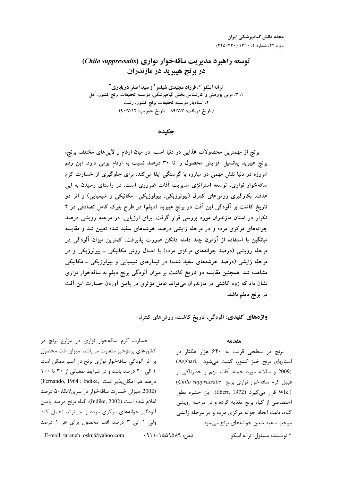# توسعه راهبرد مدیریت ساقهخوار نواری (Chilo suppressalis) در بر نج هیبر ید در مازندران

**ترانه اسکو<sup>۱ \*</sup>، فرزاد مجیدی شیلسر<sup>۲</sup> و سید اصغر دریاباری<sup>۳</sup>** ۱، ۳، مربی پژوهش و کارشناس بخش گیاهپزشکی، مؤسسه تحقیقات برنج کشور، آمل ۲، استادیار مؤسسه تحقیقات برنج کشور، رشت (تاريخ دريافت: ٨٩/٧/٣ - تاريخ تصويب: ٩٠/٧/١٢)

چکیده

برنج از مهمترین محصولات غذایی در دنیا است. در میان ارقام و لاینهای مختلف برنج، برنج هیبرید پتانسیل افزایش محصول را تا ۳۰ درصد نسبت به ارقام بومی دارد. این رقم امروزه در دنیا نقش مهمی در مبارزه با گرسنگی ایفا میکند. برای جلوگیری از خسارت کرم ساقهخوار نواری، توسعه استراتژی مدیریت آفات ضروری است. در راستای رسیدن به این هدف، بکارگیری روشهای کنترل (بیولوژیکی، بیولوژیکی- مکانیکی و شیمیایی) و اثر دو تاریخ کاشت بر آلودگی این آفت در برنج هیبرید (دیلم) در طرح بلوک کامل تصادفی در ۴ تکرار در استان مازندران مورد بررسی قرار گرفت. برای ارزیابی، در مرحله رویشی درصد جوانههای مرکزی مرده و در مرحله زایشی درصد خوشههای سفید شده تعیین شد و مقایسه میانگین با استفاده از آزمون چند دامنه دانکن صورت پذیرفت. کمترین میزان آلودگی در مرحله رویشی (درصد جوانههای مرکزی مرده) با اعمال روش مکانیکی ــ بیولوژیکی و در مرحله زایشی (درصد خوشههای سفید شده) در تیمارهای شیمیایی و بیولوژیکی ــ مکانیکی مشاهده شد. همچنین مقایسه دو تاریخ کاشت بر میزان آلودگی برنج دیلم به ساقهخوار نواری نشان داد که زود کاشتی در مازندران میتواند عامل مؤثری در پایین آوردن خسارت این آفت در برنج دیلم باشد.

واژههای کلیدی: آلودگی، تاریخ کاشت، روشهای کنترل

#### $40.100$

برنج در سطحی قریب به ۶۴۰ هزار هکتار در استانهای برنج خیز کشور، کشت می شود (Asghari) (2009 و سالانه مورد حمله آفات مهم و خطرناکی از قبیل کرم ساقهخوار نواری برنج (Chilo suppressalis) (.Wlk قرار می گیرد (Ebert, 1972). این حشره بطور اختصاصی از گیاه برنج تغذیه کرده و در مرحله رویشی گیاه، باعث ایجاد جوانه مرکزی مرده و در مرحله زایشی موجب سفید شدن خوشههای برنج میشود.

خسارت کرم ساقهخوار نواری در مزارع برنج در كشورهاي برنجخيز متفاوت مىباشد. ميزان افت محصول بر اثر آلودگی ساقهخوار نواری برنج در آسیا ممکن است ۱ الی ۲۰ درصد باشد و در شرایط طغیانی از ۳۰ تا ۱۰۰ درصد هم امكان پذير است ,Fernando, 1964 ; Indike (2002. میزان خسارت ساقهخوار در سریلانکا،۵۰ درصد اعلام شده است (Indike, 2002). گیاه برنج درصد پایین آلودگی جوانههای مرکزی مرده را می تواند تحمل کند ولی ۱ الی ۳ درصد افت محصول برای هر ۱ درصد

\* نویسنده مسئول: ترانه اسکو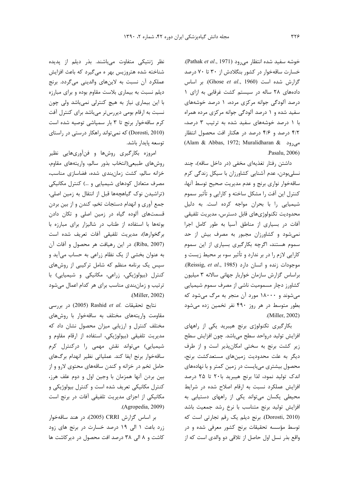خوشه سفید شده انتظار می رود (Pathak et al., 1971). خسارت ساقهخوار در کشور بنگلادش از ۳۰ تا ۷۰ درصد گزارش شده است (Ghose et al., 1960). بر اساس دادههای ٢٨ ساله در سيستم كشت غرقابی به ازای ١ درصد آلودگی جوانه مرکزی مرده، ۱ درصد خوشههای سفید شده و ۱ درصد آلودگی جوانه مرکزی مرده همراه با ۱ درصد خوشههای سفید شده به ترتیب ۳ درصد، ۴/۲ درصد و ۴/۶ درصد در هکتار افت محصول انتظار (Alam & Abbas, 1972; Muralidharan & می<sub>ا</sub>رود Pasalu, 2006)

داشتن رفتار تغذیهای مخفی (در داخل ساقه)، چند نسلیبودن، عدم آشنایی کشاورزان با سیکل زندگی کرم ساقهخوار نوارى برنج و عدم مديريت صحيح توسط آنها، کنترل این آفت را مشکل ساخته و کارایی و تأثیر سموم شیمیایی را با بحران مواجه کرده است. به دلیل محدوديت تكنولوژىهاى قابل دسترس، مديريت تلفيقى آفات در بسیاری از مناطق آسیا به طور کامل اجرا نمی شود و کشاورزان مجبور به مصرف بیش از حد سموم هستند، اگرچه بکارگیری بسیاری از این سموم کارایی لازم را در بر ندارد و تأثیر سوء بر محیط زیست و Aeissig, et al., 1985). و انسان دارد براساس گزارش سازمان خواربار جهانی سالانه ۳ میلیون کشاورز دچار مسمومیت ناشی از مصرف سموم شیمیایی می شوند و ۱۸۰۰۰ مورد آن منجر به مرگ می شود که بطور متوسط در هر روز ۴۹۰ نفر تخمین زده میشود .(Miller, 2002)

بکارگیری تکنولوژی برنج هیبرید یکی از راههای افزایش تولید درواحد سطح میباشد. چون افزایش سطح زیر کشت برنج به سختی امکان پذیر است و از طرف دیگر به علت محدودیت زمینهای مستعدکشت برنج، محصول بیشتری می بایست در زمین کمتر و با نهادههای اندک تولید نمود، لذا برنج هیبرید با۲۰ تا ۲۵ درصد افزایش عملکرد نسبت به ارقام اصلاح شده در شرایط محیطی یکسان می تواند یکی از راههای دستیابی به افزایش تولید برنج متناسب با نرخ رشد جمعیت باشد (Dorosti, 2010). برنج دیلم یک رقم تجارتی است که توسط مؤسسه تحقیقات برنج کشور معرفی شده و در واقع بذر نسل اول حاصل از تلاقی دو والدی است که از

نظر ژنتیکی متفاوت میباشند. بذر دیلم از پدیده شناخته شده هتروزیس بهر ه میگیرد که باعث افزایش عملکرد آن نسبت به لاینهای والدینی میگردد. برنج دیلم نسبت به بیماری بلاست مقاوم بوده و برای مبارزه با این بیماری نیاز به هیچ کنترلی نمیباشد ولی چون نسبت به ارقام بومی دیررستر میباشد برای کنترل آفت کرم ساقهخوار برنج تا ۳ بار سمپاشی توصیه شده است (Dorosti, 2010) که نمی تواند راهکار درستی در راستای توسعه پايدار باشد.

امروزه بکارگیری روشها و فنآوریهایی نظیر روشهاى طبيعي(انتخاب بذور سالم، واريتههاى مقاوم، خزانه سالم، كشت زمانبندى شده، فضاسازى مناسب، مصرف متعادل کودهای شیمیایی و …) کنترل مکانیکی (تراشیدن نوک گیاهچهها قبل از انتقال به زمین اصلی، جمع آوري و انهدام دستجات تخم، كندن و از بين بردن قسمتهای آلوده گیاه در زمین اصلی و تکان دادن بوتهها با استفاده از طناب در شاليزار براى مبارزه با برگخوارها)، مديريت تلفيقي آفات تعريف شده است (Riba, 2007). در این رهیافت هر محصول و آفات آن به عنوان بخشی از یک نظام زراعی به حساب میآید و سپس یک برنامه منظم که شامل ترکیبی از روشهای کنترل (بیولوژیکی، زراعی، مکانیکی و شیمیایی) با ترتیب و زمانبندی مناسب برای هر کدام اعمال میشود .(Miller, 2002)

نتايج تحقيقات .Rashid et al (2005) در بررسى مقاومت واریتههای مختلف به ساقهخوار با روشهای مختلف کنترل و ارزیابی میزان محصول نشان داد که مدیریت تلفیقی (بیولوژیکی، استفاده از ارقام مقاوم و شیمیایی) میتواند نقش مهمی را درکنترل کرم ساقەخوار برنج ايفا كند. عملياتى نظير انهدام برگهاى حامل تخم در خزانه و کندن ساقههای محتوی لارو و از بین بردن آنها همزمان با وجین اول و دوم علف هرز، کنترل مکانیکی تعریف شده است و کنترل بیولوژیکی و مکانیکی از اجزای مدیریت تلفیقی آفات در برنج است  $(Aqropedia, 2009)$ 

بر اساس گزارش CRRI (2005)، در هند ساقهخوار زرد باعث ۱ الی ۱۹ درصد خسارت در برنج های زود کاشت و ۸ الی ۳۸ درصد افت محصول در دیرکاشت ها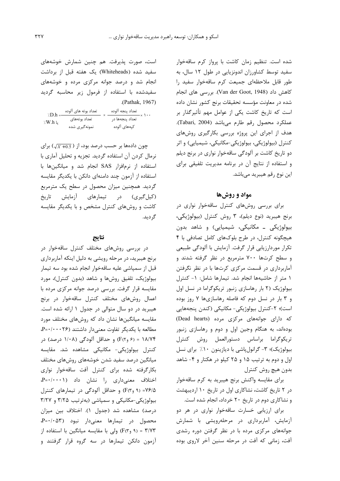شده است. تنظیم زمان کاشت با پرواز کرم ساقهخوار سفید توسط کشاورزان اندونزیایی در طول ۱۲ سال، به طور قابل ملاحظهای جمیعت کرم ساقهخوار سفید را كاهش داد (Van der Goot, 1948). بررسي هاي انجام شده در معاونت مؤسسه تحقیقات برنج کشور نشان داده است که تاریخ کاشت یکی از عوامل مهم تأثیرگذار بر عملكرد محصول رقم طارم مى باشد (Tabari, 2004). هدف از اجرای این پروژه بررسی بکارگیری روشهای کنترل (بیولوژیکی، بیولوژیکی-مکانیکی، شیمیایی) و اثر دو تاریخ کاشت بر آلودگی ساقهخوار نواری در برنج دیلم و استفاده از نتایج آن در برنامه مدیریت تلفیقی برای این نوع رقم هیبرید میباشد.

## مواد و روشها

برای بررسی روشهای کنترل ساقهخوار نواری در برنج هيبريد (نوع ديلم)، ٣ روش كنترل (بيولوژيكى، بیولوژیکی ـ مکانیکی، شیمیایی) و شاهد بدون هیچگونه کنترل، در طرح بلوکهای کامل تصادفی با ۴ تکرار موردارزیابی قرار گرفت. آزمایش با آلودگی طبیعی و سطح کرتها ۷۰۰ مترمربع در نظر گرفته شدند و آماربرداری در قسمت مرکزی کرتها با در نظر نگرفتن ١ متر از حاشیهها انجام شد. تیمارها شامل: ١- کنترل بیولوژیک (٢ بار رهاسازی زنبور تریکوگراما در نسل اول و ۳ بار در نسل دوم که فاصله رهاسازیها ۷ روز بوده است)؛ ٢-كنترل بيولوژيكي- مكانيكي (كندن پنجههايي که دارای جوانههای مرکزی مرده (Dead hearts) بودهاند، به هنگام وجین اول و دوم و رهاسازی زنبور تريكوگراما براساس دستورالعمل روش كنترل بيولوژيک)؛ ٣- گرانول پاشي با ديازينون ١٠٪ براي نسل اول و دوم به ترتیب ۱۵ و ۲۵ کیلو در هکتار و ۴- شاهد بدون هيچ روش كنترل

برای مقایسه واکنش برنج هیبرید به کرم ساقهخوار در ٢ تاريخ كاشت، نشاكاري اول در تاريخ ١٠ ارديبهشت و نشاکاری دوم در تاریخ ۲۰ خرداد، انجام شده است.

برای ارزیابی خسارت ساقهخوار نواری در هر دو آزمایش، آماربرداری در مرحلهرویشی با شمارش جوانههای مرکزی مرده با در نظر گرفتن دوره رشدی آفت، زمانی که آفت در مرحله سنین آخر لاروی بوده

است، صورت پذیرفت. هم چنین شمارش خوشههای سفید شده (Whiteheads) یک هفته قبل از برداشت انجام شد و درصد جوانه مرکزی مرده و خوشههای سفیدشده با استفاده از فرمول زیر محاسبه گردید .(Pathak, 1967)

| $\angle D.h$ | تعداد بوته های آلوده | تعداد پنجه آلوده |  |
|--------------|----------------------|------------------|--|
| يا W.h:/     | تعداد بوتههاى        | تعداد پنجهها در  |  |
|              | نمونه گیری شده       | كپەھاي آلودە     |  |

چون دادهها بر حسب درصد بود، از (  $\sqrt{X+0.5}$ ) برای نرمال کردن آن استفاده گردید. تجزیه و تحلیل آماری با استفاده از نرمافزار SAS انجام شد و میانگینها با استفاده از آزمون چند دامنهای دانکن با یکدیگر مقایسه گردید. همچنین میزان محصول در سطح یک مترمربع (کیل گیری) در تیمارهای آزمایش تاریخ کاشت و روشهای کنترل مشخص و با یکدیگر مقایسه گر دید.

#### نتايج

در بررسی روشهای مختلف کنترل ساقهخوار در برنج هیبرید، در مرحله رویشی به دلیل اینکه آماربرداری قبل از سمپاشی علیه ساقهخوار انجام شده بود سه تیمار بیولوژیک، تلفیق روشها و شاهد (بدون کنترل)، مورد مقایسه قرار گرفت. بررسی درصد جوانه مرکزی مرده با اعمال روشهای مختلف کنترل ساقهخوار در برنج هیبرید در دو سال متوالی در جدول ۱ ارائه شده است. مقایسه میانگینها نشان داد که روشهای مختلف مورد مطالعه با یکدیگر تفاوت معنیدار داشتند (P=٠/٠٠٠٢۶. ۰۱۸/۷۴ = ۶۱ و F(۲) و حداقل آلودگی (۱/۰۸ درصد) در كنترل بيولوژيكى- مكانيكى مشاهده شد. مقايسه میانگین درصد سفید شدن خوشههای روشهای مختلف بكارگرفته شده براى كنترل أفت ساقهخوار نوارى اختلاف معنى دارى را نشان داد (P=٠/٠٠١) ۷۶/۵= (۹ و۴(۳) و حداقل آلودگی در تیمارهای کنترل بیولوژیکی-مکانیکی و سمپاشی (بهترتیب ۳/۲۵ و ۳/۲۷ درصد) مشاهده شد (جدول ۱). اختلاف بین میزان محصول در تیمارها معنیدار نبود (P=٠/٠۵۳ ۴/۷۳ = (۹ و۴) eلی با مقایسه میانگین با استفاده از آزمون دانکن تیمارها در سه گروه قرار گرفتند و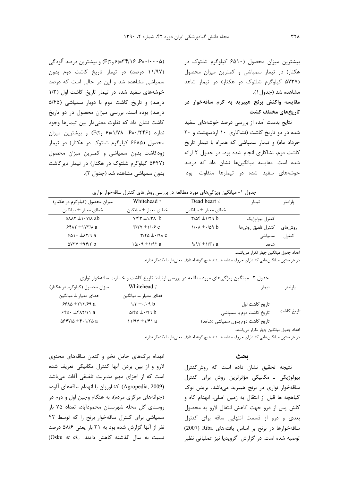بیشترین میزان محصول (۶۵۱۰ کیلوگرم شلتوک در هکتار) در تیمار سمپاشی و کمترین میزان محصول (۵۷۳۷ کیلوگرم شلتوک در هکتار) در تیمار شاهد مشاهده شد (جدول ۱). مقایسه واکنش برنج هیبرید به کرم ساقهخوار در تاريخهاي مختلف كشت

نتایج بدست آمده از بررسی درصد خوشههای سفید شده در دو تاریخ کاشت (نشاکاری ۱۰ اردیبهشت و ۲۰ خرداد ماه) و تیمار سمپاشی که همراه با تیمار تاریخ کاشت دوم، نشاکاری انجام شده بود، در جدول ۲ ارائه شده است. مقایسه میانگینها نشان داد که درصد خوشههای سفید شده در تیمارها متفاوت بود

(۴/۱۶-۰۰-۵)، ۳۴/۱۶=(۶٫۶) و بیشترین درصد آلودگی (۱۱/۹۷ درصد) در تیمار تاریخ کاشت دوم بدون سمپاشی مشاهده شد و این در حالی است که درصد خوشههای سفید شده در تیمار تاریخ کاشت اول (١/٣ درصد) و تاریخ کاشت دوم با دوبار سمپاشی (۵/۴۵ درصد) بوده است. بررسی میزان محصول در دو تاریخ كاشت نشان داد كه تفاوت معنى دار بين تيمارها وجود ندارد (P=٠/٢۴۶، ١/٧٨=(۶ وF) و بيشترين ميزان محصول (۶۶۸۵ کیلوگرم شلتوک در هکتار) در تیمار زودکاشت بدون سمپاشی و کمترین میزان محصول (۵۶۴۷ کیلوگرم شلتوک در هکتار) در تیمار دیرکاشت بدون سمپاشی مشاهده شد (جدول ۲).

| ر ر رب                                             | ر ب                                   |                                       | . رن              |         |
|----------------------------------------------------|---------------------------------------|---------------------------------------|-------------------|---------|
| میزان محصول (کیلوگرم در هکتار)                     | Whitehead /                           | Dead heart /                          | تيمار             | پارامتر |
| خطای معیا <sub>د</sub> ± میانگین                   | خطاي معيار ± ميانگين                  | خطاي معيار ± ميانگين                  |                   |         |
| $\Delta \lambda \lambda \tau \pm 1.4$ $\lambda$ ab | $Y/f\tau \pm 1/\tau \wedge b$         | $\frac{r}{\Delta}$ $\frac{r}{\Delta}$ | كنترل بيولوژيک    |         |
| $5517 \pm 1077$ a                                  | $\Upsilon/\Upsilon V \pm 1/\cdot 5$ C | $1/\cdot \lambda \pm \cdot 29$ b      | كنترل تلفيق روشها | روش های |
| $601 \cdot \pm \lambda 7/9$ a                      | $\tau/\tau\Delta \pm 0.19$            |                                       | سمیاشی            | كنترل   |
| $\Delta V \tau V \pm 9.57$                         | $10/19 \pm 1/97$ a                    | $9/97 \pm 1/71$ a                     | شاهد              |         |
|                                                    |                                       |                                       |                   |         |

|  | جدول ۱- میانگین ویژگیهای مورد مطالعه در بررسی روشهای کنترل ساقهخوار نواری |  |  |
|--|---------------------------------------------------------------------------|--|--|
|  |                                                                           |  |  |

اعداد جدول میانگین چهار تکرار میباشند.

در هر ستون میانگینهایی که دارای حروف مشابه هستند هیچ گونه اختلاف معنیدار با یکدیگر ندارند.

| جدول ۲- میانگین ویژگیهای مورد مطالعه در بررسی ارتباط تاریخ کاشت و خسارت ساقهخوار نواری |  |
|----------------------------------------------------------------------------------------|--|
|----------------------------------------------------------------------------------------|--|

| يار امتر   | تيمار                             | Whitehead /                                    | میزان محصول (کیلوگرم در هکتار)                |
|------------|-----------------------------------|------------------------------------------------|-----------------------------------------------|
|            |                                   | خطاي معيار ± ميانگين                           | خطاي معيار ± ميانگين                          |
|            | ِ تاریخ کاشت اول                  | $1/\tau \pm 1.1$                               | $99A\Delta \pm 777/99$ a                      |
| تاریخ کاشت | تاریخ کاشت دوم با سمیاشی          | $\Delta$ /۴ $\Delta$ $\pm$ $\cdot$ /99 $\beta$ | $560 \cdot \pm 617/11a$                       |
|            | تاریخ کاشت دوم بدون سمپاشی (شاهد) | $11/9V \pm 1/F1$ a                             | $\Delta$ ۶۴۷/ $\Delta$ $\pm$ ۴۰۱/۲ $\Delta$ a |
|            | .                                 |                                                |                                               |

اعداد جدول میانگین چهار تکرار میباشند.

در هر ستون میانگینهایی که دارای حروف مشابه هستند هیچ گونه اختلاف معنیدار با یکدیگر ندارند.

انهدام برگهای حامل تخم و کندن ساقههای محتوی لارو و از بین بردن آنها کنترل مکانیکی تعریف شده است که از اجزای مهم مدیریت تلفیقی آفات میباشد (Agropedia, 2009). كشاورزان با انهدام ساقههاى آلوده (جوانههای مرکزی مرده)، به هنگام وجین اول و دوم در روستای گل محله شهرستان محمودآباد، تعداد ۷۵ بار سمپاشی برای کنترل ساقهخوار برنج را که توسط ۴۲ نفر از آنها گزارش شده بود به ۳۱ بار یعنی ۵۸/۶ درصد (Osku et al., مسال گذشته كاهش دادند.

### بحث

نتیجه تحقیق نشان داده است که روشکنترل بیولوژیکی ـ مکانیکی مؤثرترین روش برای کنترل ساقەخوار نوارى در برنج هيبريد مىباشد. بريدن نوك گیاهچه ها قبل از انتقال به زمین اصلی، انهدام کاه و كلش پس از درو جهت كاهش انتقال لارو به محصول بعدی و درو از قسمت انتهایی ساقه برای کنترل ساقەخوارها در برنج بر اساس یافتەهای Riba (2007) توصیه شده است. در گزارش آگرویدیا نیز عملیاتی نظیر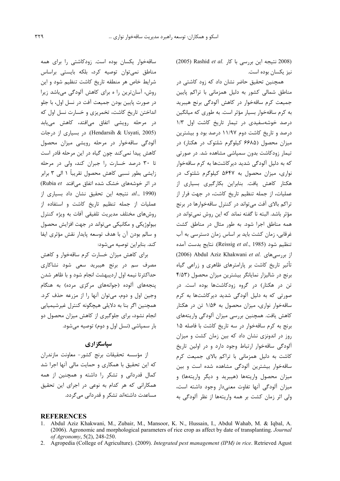(2008 نتيجه اين بررسي با كار .Rashid et al) نیز یکسان بوده است.

همچنین تحقیق حاضر نشان داد که زود کاشتی در مناطق شمالی کشور به دلیل همزمانی با تراکم پایین جمیعت کرم ساقهخوار در کاهش آلودگی برنج هیبرید به کرم ساقهخوار بسیار مؤثر است. به طوری که میانگین درصد خوشهسفیدی در تیمار تاریخ کاشت اول ۱/۳ درصد و تاریخ کاشت دوم ۱۱/۹۷ درصد بود و بیشترین میزان محصول (۶۶۸۵ کیلوگرم شلتوک در هکتار) در تیمار زودکاشت بدون سمیاشی مشاهده شد. در صورتی که به دلیل آلودگی شدید دیر کاشتها به کرم ساقهخوار نواری، میزان محصول به ۵۶۴۷ کیلوگرم شلتوک در هکتار کاهش یافت. بنابراین بکارگیری بسیاری از عملیات، از جمله تنظیم تاریخ کاشت، در جهت فرار از تراکم بالای آفت می تواند در کنترل ساقهخوارها در برنج مؤثر باشد. البته نا گفته نماند که این روش نمیتواند در همه مناطق اجرا شود. به طور مثال در مناطق کشت غرقابی، زمان کشت باید بر اساس زمان دسترسی به آب تنظيم شود (Reissig et al., 1985). نتايج بدست آمده (2006) Abdul Aziz Khakwani et al. بررسی های تأثیر تاریخ کاشت بر پارامترهای ظاهری و زراعی گیاه برنج در شالیزار نمایانگر بیشترین میزان محصول (۴/۵۳ تن در هکتار) در گروه زودکاشتها بوده است. در صورتی که به دلیل آلودگی شدید دیرکاشتها به کرم ساقهخوار نواری، میزان محصول به ۱/۵۶ تن در هکتار كاهش يافت. همچنين بررسي ميزان آلودگي واريتههاي برنج به کرم ساقهخوار در سه تاریخ کاشت با فاصله ۱۵ روز در اندونزی نشان داد که بین زمان کشت و میزان آلودگی ساقهخوار ارتباط وجود دارد و در اولین تاریخ کاشت به دلیل همزمانی با تراکم بالای جمیعت کرم ساقهخوار بیشترین آلودگی مشاهده شده است و بین میزان محصول واریتهها (هیبرید و دیگر واریتهها) و میزان آلودگی آنها تفاوت معنی دار وجود داشته است، ولی اثر زمان کشت بر همه واریتهها از نظر آلودگی به

ساقەخوار یکسان بودە است. زودکاشتی را برای همه مناطق نمى توان توصيه كرد، بلكه بايستى براساس شرایط خاص هر منطقه تاریخ کاشت تنظیم شود و این روش، آسان ترین را ه برای کاهش آلودگی میباشد زیرا در صورت پايين بودن جميعت آفت در نسل اول، با جلو انداختن تاریخ کاشت، تخمریزی و خسارت نسل اول که در مرحله رویشی اتفاق میافتد، کاهش مییابد (Hendarsih & Usyati, 2005). در بسیاری از درجات آلودگی ساقهخوار در مرحله رویشی میزان محصول كاهش پيدا نمي كند چون گياه در اين مرحله قادر است تا ٣٠ درصد خسارت را جبران كند، ولي در مرحله زایشی بطور نسبی کاهش محصول تقریباً ۱ الی ۳ برابر در اثر خوشههای خشک شده اتفاق می افتد Rubia et) *(1990 ..d. ن*تيجه اين تحقيق نشان داد بسياري از عملیات از جمله تنظیم تاریخ کاشت و استفاده از روش های مختلف مدیریت تلفیقی آفات به ویژه کنترل بیولوژیکی و مکانیکی می تواند در جهت افزایش محصول و سالم بودن آن با هدف توسعه پایدار نقش مؤثری ایفا كند. بنابراين توصيه مي شود:

برای کاهش میزان خسارت کرم ساقهخوار و کاهش مصرف سم در برنج هیبرید سعی شود نشاکاری حداکثرتا نیمه اول اردیبهشت انجام شود و با ظاهر شدن پنجههای آلوده (جوانههای مرکزی مرده) به هنگام وجين اول و دوم، مي توان آنها را از مزرعه حذف كرد. همچنین اگر بنا به دلایلی هیچگونه کنترل غیرشیمیایی انجام نشود، برای جلوگیری از کاهش میزان محصول دو بار سمیاشی (نسل اول و دوم) توصیه می شود.

## سپاسگزاری

از مؤسسه تحقیقات برنج کشور- معاونت مازندران که این تحقیق با همکاری و حمایت مالی آنها اجرا شد کمال قدردانی و تشکر را داشته و همچنین از همه همکارانی که هر کدام به نوعی در اجرای این تحقیق مساعدت داشتهاند تشکر و قدردانی میگردد.

#### **REFERENCES**

- Abdul Aziz Khakwani, M., Zubair, M., Mansoor, K. N., Hussain, I., Abdul Wahab, M. & Iqbal, A.  $\mathbf{1}$ (2006). Agronomic and morphological parameters of rice crop as affect by date of transplanting. Journal of Agronomy, 5(2), 248-250.
- 2. Agropedia (College of Agriculture). (2009). Integrated pest management (IPM) in rice. Retrieved Agust